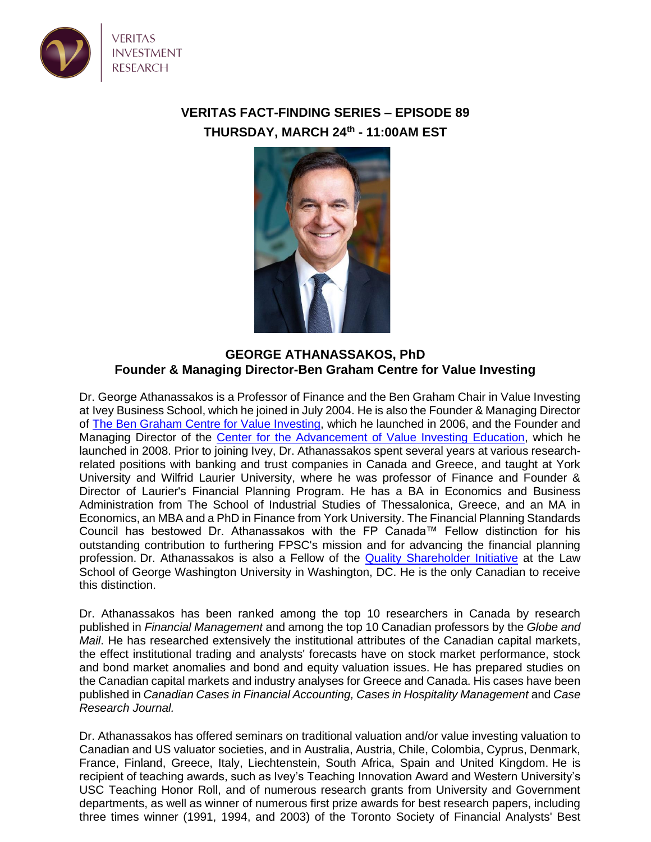

## **VERITAS FACT-FINDING SERIES – EPISODE 89 THURSDAY, MARCH 24th - 11:00AM EST**



## **GEORGE ATHANASSAKOS, PhD Founder & Managing Director-Ben Graham Centre for Value Investing**

Dr. George Athanassakos is a Professor of Finance and the Ben Graham Chair in Value Investing at Ivey Business School, which he joined in July 2004. He is also the Founder & Managing Director of [The Ben Graham Centre for Value Investing,](https://www.ivey.uwo.ca/bengrahaminvesting/) which he launched in 2006, and the Founder and Managing Director of the [Center for the Advancement of Value Investing Education,](http://valueinvestingeducation.com/) which he launched in 2008. Prior to joining Ivey, Dr. Athanassakos spent several years at various researchrelated positions with banking and trust companies in Canada and Greece, and taught at York University and Wilfrid Laurier University, where he was professor of Finance and Founder & Director of Laurier's Financial Planning Program. He has a BA in Economics and Business Administration from The School of Industrial Studies of Thessalonica, Greece, and an MA in Economics, an MBA and a PhD in Finance from York University. The Financial Planning Standards Council has bestowed Dr. Athanassakos with the FP Canada™ Fellow distinction for his outstanding contribution to furthering FPSC's mission and for advancing the financial planning profession. Dr. Athanassakos is also a Fellow of the [Quality Shareholder Initiative](https://www.law.gwu.edu/c-leaf-initiatives?url=https%3A%2F%2Fwww.law.gwu.edu%2Fc-leaf-initiatives&userId=1693566&signature=7262da5e053095e4) at the Law School of George Washington University in Washington, DC. He is the only Canadian to receive this distinction.

Dr. Athanassakos has been ranked among the top 10 researchers in Canada by research published in *Financial Management* and among the top 10 Canadian professors by the *Globe and Mail*. He has researched extensively the institutional attributes of the Canadian capital markets, the effect institutional trading and analysts' forecasts have on stock market performance, stock and bond market anomalies and bond and equity valuation issues. He has prepared studies on the Canadian capital markets and industry analyses for Greece and Canada. His cases have been published in *Canadian Cases in Financial Accounting, Cases in Hospitality Management* and *Case Research Journal.*

Dr. Athanassakos has offered seminars on traditional valuation and/or value investing valuation to Canadian and US valuator societies, and in Australia, Austria, Chile, Colombia, Cyprus, Denmark, France, Finland, Greece, Italy, Liechtenstein, South Africa, Spain and United Kingdom. He is recipient of teaching awards, such as Ivey's Teaching Innovation Award and Western University's USC Teaching Honor Roll, and of numerous research grants from University and Government departments, as well as winner of numerous first prize awards for best research papers, including three times winner (1991, 1994, and 2003) of the Toronto Society of Financial Analysts' Best